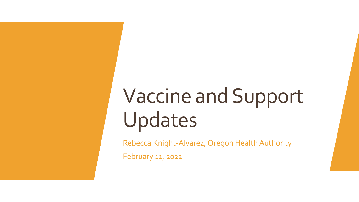## Vaccine and Support Updates

Rebecca Knight-Alvarez, Oregon Health Authority

February 11, 2022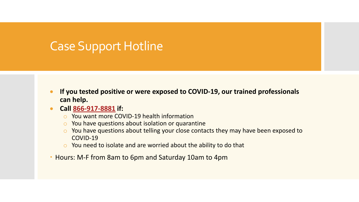## Case Support Hotline

- **If you tested positive or were exposed to COVID-19, our trained professionals can help.**
- **Call [866-917-8881](tel:866-917-8881) if:**
	- o You want more COVID-19 health information
	- $\circ$  You have questions about isolation or quarantine
	- o You have questions about telling your close contacts they may have been exposed to COVID-19
	- o You need to isolate and are worried about the ability to do that
- Hours: M-F from 8am to 6pm and Saturday 10am to 4pm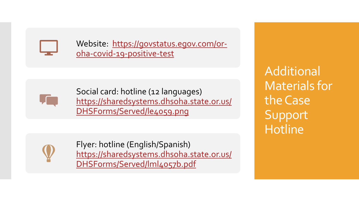

Website [https://govstatus.egov.com/or](https://govstatus.egov.com/or-oha-covid-19-positive-test)oha-covid-19-positive-test



Social card: hotline (12 languages) [https://sharedsystems.dhsoha.state.or.us/](https://sharedsystems.dhsoha.state.or.us/DHSForms/Served/le4059.png) DHSForms/Served/le4059.png

Additional Materials for the Case Support **Hotline** 



Flyer: hotline (English/Spanish) [https://sharedsystems.dhsoha.state.or.us/](https://sharedsystems.dhsoha.state.or.us/DHSForms/Served/lml4057b.pdf) DHSForms/Served/lml4057b.pdf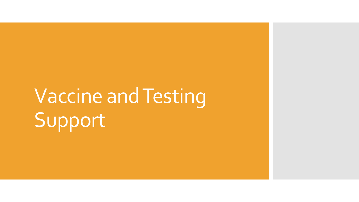## Vaccine and Testing Support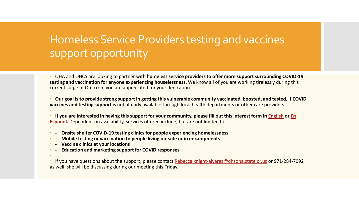## Homeless Service Providers testing and vaccines support opportunity

 OHA and OHCS are looking to partner with **homeless service providers to offer more support surrounding COVID-19 testing and vaccination for anyone experiencing houselessness.** We know all of you are working tirelessly during this current surge of Omicron; you are appreciated for your dedication.

 **Our goal is to provide strong support in getting this vulnerable community vaccinated, boosted, and tested, if COVID vaccines and testing support** is not already available through local health departments or other care providers.

 **[If you are interested in having this support for your community, please fill out this interest form in English](https://gcc02.safelinks.protection.outlook.com/?url=https%3A%2F%2Fapp.smartsheet.com%2Fb%2Fform%2F3c72af257bb24f7d8c3110f3c0fb41d2&data=04%7C01%7CRebecca.Knight-Alvarez%40dhsoha.state.or.us%7C7c8ea43c1eaa4ef74aed08d9ec224428%7C658e63e88d39499c8f4813adc9452f4c%7C0%7C0%7C637800455035535328%7CUnknown%7CTWFpbGZsb3d8eyJWIjoiMC4wLjAwMDAiLCJQIjoiV2luMzIiLCJBTiI6Ik1haWwiLCJXVCI6Mn0%3D%7C3000&sdata=wvn7goIlbaGRZazPiPbROrGNmTXJhBIQzwAqASvYoto%3D&reserved=0) or En Espanol.** Dependent on availability, services offered include, but are not limited to:  $\ddot{\phantom{0}}$ 

- **- Onsite shelter COVID-19 testing clinics for people experiencing homelessness**
- **- Mobile testing or vaccination to people living outside or in encampments**
- **- Vaccine clinics at your locations**
- **- Education and marketing support for COVID responses**
- $\ddot{\phantom{0}}$

 $\ddot{\phantom{0}}$ 

 If you have questions about the support, please contact [Rebecca.knight-alvarez@dhsoha.state.or.us](mailto:Rebecca.knight-alvarez@dhsoha.state.or.us) or 971-284-7092 as well, she will be discussing during our meeting this Friday.